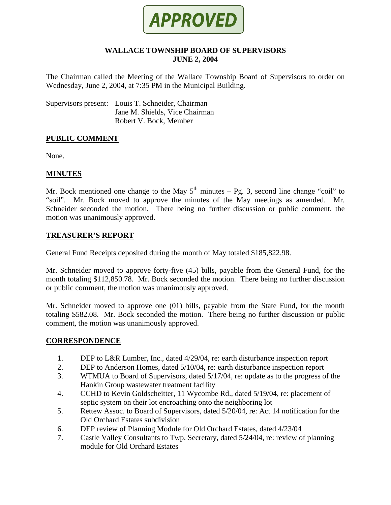

## **WALLACE TOWNSHIP BOARD OF SUPERVISORS JUNE 2, 2004**

The Chairman called the Meeting of the Wallace Township Board of Supervisors to order on Wednesday, June 2, 2004, at 7:35 PM in the Municipal Building.

Supervisors present: Louis T. Schneider, Chairman Jane M. Shields, Vice Chairman Robert V. Bock, Member

#### **PUBLIC COMMENT**

None.

## **MINUTES**

Mr. Bock mentioned one change to the May  $5<sup>th</sup>$  minutes – Pg. 3, second line change "coil" to "soil". Mr. Bock moved to approve the minutes of the May meetings as amended. Mr. Schneider seconded the motion. There being no further discussion or public comment, the motion was unanimously approved.

## **TREASURER'S REPORT**

General Fund Receipts deposited during the month of May totaled \$185,822.98.

Mr. Schneider moved to approve forty-five (45) bills, payable from the General Fund, for the month totaling \$112,850.78. Mr. Bock seconded the motion. There being no further discussion or public comment, the motion was unanimously approved.

Mr. Schneider moved to approve one (01) bills, payable from the State Fund, for the month totaling \$582.08. Mr. Bock seconded the motion. There being no further discussion or public comment, the motion was unanimously approved.

#### **CORRESPONDENCE**

- 1. DEP to L&R Lumber, Inc., dated 4/29/04, re: earth disturbance inspection report
- 2. DEP to Anderson Homes, dated 5/10/04, re: earth disturbance inspection report
- 3. WTMUA to Board of Supervisors, dated 5/17/04, re: update as to the progress of the Hankin Group wastewater treatment facility
- 4. CCHD to Kevin Goldscheitter, 11 Wycombe Rd., dated 5/19/04, re: placement of septic system on their lot encroaching onto the neighboring lot
- 5. Rettew Assoc. to Board of Supervisors, dated 5/20/04, re: Act 14 notification for the Old Orchard Estates subdivision
- 6. DEP review of Planning Module for Old Orchard Estates, dated 4/23/04
- 7. Castle Valley Consultants to Twp. Secretary, dated 5/24/04, re: review of planning module for Old Orchard Estates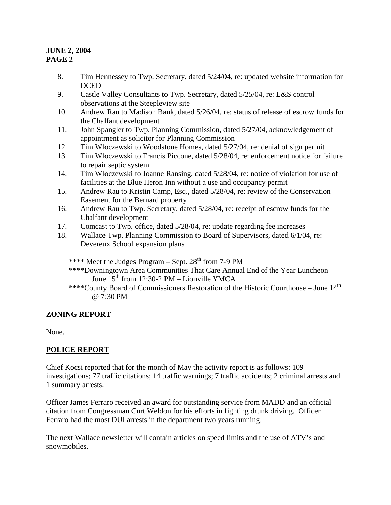## **JUNE 2, 2004 PAGE 2**

- 8. Tim Hennessey to Twp. Secretary, dated 5/24/04, re: updated website information for DCED
- 9. Castle Valley Consultants to Twp. Secretary, dated 5/25/04, re: E&S control observations at the Steepleview site
- 10. Andrew Rau to Madison Bank, dated 5/26/04, re: status of release of escrow funds for the Chalfant development
- 11. John Spangler to Twp. Planning Commission, dated 5/27/04, acknowledgement of appointment as solicitor for Planning Commission
- 12. Tim Wloczewski to Woodstone Homes, dated 5/27/04, re: denial of sign permit
- 13. Tim Wloczewski to Francis Piccone, dated 5/28/04, re: enforcement notice for failure to repair septic system
- 14. Tim Wloczewski to Joanne Ransing, dated 5/28/04, re: notice of violation for use of facilities at the Blue Heron Inn without a use and occupancy permit
- 15. Andrew Rau to Kristin Camp, Esq., dated 5/28/04, re: review of the Conservation Easement for the Bernard property
- 16. Andrew Rau to Twp. Secretary, dated 5/28/04, re: receipt of escrow funds for the Chalfant development
- 17. Comcast to Twp. office, dated 5/28/04, re: update regarding fee increases
- 18. Wallace Twp. Planning Commission to Board of Supervisors, dated 6/1/04, re: Devereux School expansion plans
	- \*\*\*\* Meet the Judges Program Sept.  $28<sup>th</sup>$  from 7-9 PM
	- \*\*\*\*Downingtown Area Communities That Care Annual End of the Year Luncheon June  $15^{th}$  from 12:30-2 PM – Lionville YMCA
	- \*\*\*\*County Board of Commissioners Restoration of the Historic Courthouse June  $14<sup>th</sup>$ @ 7:30 PM

# **ZONING REPORT**

None.

# **POLICE REPORT**

Chief Kocsi reported that for the month of May the activity report is as follows: 109 investigations; 77 traffic citations; 14 traffic warnings; 7 traffic accidents; 2 criminal arrests and 1 summary arrests.

Officer James Ferraro received an award for outstanding service from MADD and an official citation from Congressman Curt Weldon for his efforts in fighting drunk driving. Officer Ferraro had the most DUI arrests in the department two years running.

The next Wallace newsletter will contain articles on speed limits and the use of ATV's and snowmobiles.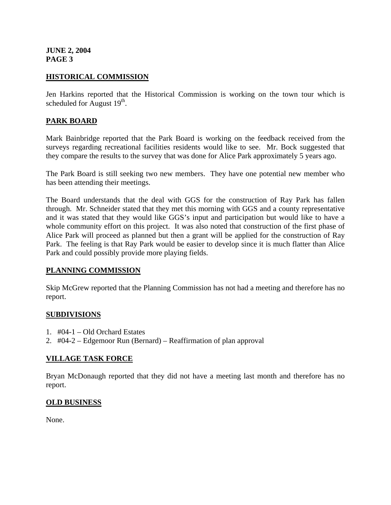**JUNE 2, 2004 PAGE 3** 

## **HISTORICAL COMMISSION**

Jen Harkins reported that the Historical Commission is working on the town tour which is scheduled for August  $19<sup>th</sup>$ .

## **PARK BOARD**

Mark Bainbridge reported that the Park Board is working on the feedback received from the surveys regarding recreational facilities residents would like to see. Mr. Bock suggested that they compare the results to the survey that was done for Alice Park approximately 5 years ago.

The Park Board is still seeking two new members. They have one potential new member who has been attending their meetings.

The Board understands that the deal with GGS for the construction of Ray Park has fallen through. Mr. Schneider stated that they met this morning with GGS and a county representative and it was stated that they would like GGS's input and participation but would like to have a whole community effort on this project. It was also noted that construction of the first phase of Alice Park will proceed as planned but then a grant will be applied for the construction of Ray Park. The feeling is that Ray Park would be easier to develop since it is much flatter than Alice Park and could possibly provide more playing fields.

#### **PLANNING COMMISSION**

Skip McGrew reported that the Planning Commission has not had a meeting and therefore has no report.

#### **SUBDIVISIONS**

- 1. #04-1 Old Orchard Estates
- 2. #04-2 Edgemoor Run (Bernard) Reaffirmation of plan approval

#### **VILLAGE TASK FORCE**

Bryan McDonaugh reported that they did not have a meeting last month and therefore has no report.

#### **OLD BUSINESS**

None.